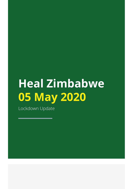# **Heal Zimbabwe 05 May 2020**

Lockdown Update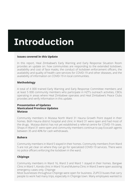# **Introduction**

#### **Issues covered in this Update**

In this report, Heal Zimbabwe's Early Warning and Early Response Situation Room provides an update on: how communities are responding to the extended lockdown, availability and cost of face masks, the conduct of lockdown enforcement officers, the availability and quality of health care services for COVID-19 and other diseases, and the availability of information on COVID-19 in local communities.

#### **Methodology**

A total of 4 000 trained Early Warning and Early Response Committee members and at least 5 000 community members who participate in HZT's outreach activities, CBOs operating in areas where Heal Zimbabwe operates and Heal Zimbabwe's Peace Clubs provides and verify information in this update.

#### **Presentation of Updates Manicaland Province Updates Mutasa**

Community members in Mutasa North Ward 31 Hauna Growth Point stayed in their homes. Both Hauna district hospital and clinic in Ward 31 were open and had most of the drugs. Mutasa district has not yet established a referral centre for COVID-19 cases. Shops in Ward 31 were open and community members continue to pay Ecocash agents between 35 and 40% for cash withdrawals.

#### **Buhera**

Community members in Ward 5 stayed in their homes. Community members from Ward 5 are not yet clear on where they can go for specialized COVID-19 services. There were no police officers enforcing the lockdown in the ward.

# **Chipinge**

Community members in Ward 16, Ward 3 and Ward 1 stayed in their homes. Bangwe Clinic in Ward 1, Kondo clinic in Ward 16 and Mutema Clinic in Ward 3 were open assisting emergency cases only. Chipinge

Most businesses throughout Chipinge were open for business. ZUPCO buses that carry people to work had many trips, especially in Chipinge town. Many employees wanted to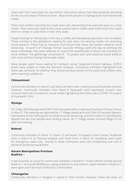check with their work place for any further instructions about how they would be operating for the second phase of the lock down. Most of the people in Chipinge town had homemade masks.

Police and soldiers manning the roads were also demanding that everyone puts on a face masks. There were also reports that some people had to collect used masks from bins, wash them or simply re-used them in their dirty state.

People looking for menial jobs in the tea, a coffee and Macadamia plantation has increased. Those coming to the plantations seeking for jobs were not wearing masks nor practising social distance. Police had to intervene and ensure that these job seekers observe social distancing. In ward 5 of Chipinge, female Councilor Nhengu spent the day re-orienting the ward committees that were selected to record the beneficiaries of donor aid including for social welfare. The gatherings comprised of 10 people each and observed social distance with most of them having homemade masks.

Many people spent hours waiting for transport along Tanganda-Chiredzi highway. ZUPCO buses were unable to meet the demand. However, community members highlighted that there was confusion on whether they should produce letters to the police and soldiers who were manning roadblocks..

# **Chimanimani**

Community members in Ward 5 and Ward 20 were seen roaming around Business centres. However, community members from Ward 8 Nyanyadzi area expressed concern over rumours that had circulated on social media highlighting that there was a COVID-19 suspect at Nyanyadzi Clinic.

#### **Nyanga**

On 3 May 2020 Nyanga North MP Chido Sanyatwe held a meeting at Kazodzo Primary School, in Ward 3. The meeting was attended by 17 Village Heads and local ZANU PF position bearers. Participants at the meeting did not observe social distancing, and there were no disinfectants despite the fact that people were shaking hands. All 17 Village Heads received 50kgs of rice after the meeting.

#### **Makoni**

Community members in Ward 15, Ward 13 and Ward 16 stayed in their homes. Rupfende clinic in Ward 15, St Theresa Hospital, and Tandi Clinic in Ward 16, Headlands were open for emergency cases only. Nurses in these institutions were still complaining over lack of personal protective equipment.

#### **Harare Metropolitan Province Budiriro** 1

It was business as usual for community members in Budiriro 1.Police officers moved around Budiriro 1 at around 08:00hours urging residents to stay indoors. Supermarkets in Budiriro 1 were open and had most of the basic commodities.

#### **Chitungwiza**

Community members in Zengeza 4 stayed in their homes. However, there has been an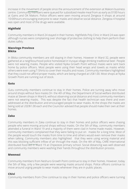increase in the movement of people since the announcement of the extension at Makoni business centre. Community members were queued for subsidized mealie meal from as early as 0100 hours at Gains and OK Makoni. Police officers were seen moving around Zengeza 4 shops at around 10:00hours encouraging everyone to wear masks and observe social distance. Zengeza 4 hospital was open and most of the drugs were available.

# **Highfield**

Community members in Ward 24 stayed in their homes. Highfields Poly Clinic in Ward 24 was open although nurses were complaining over shortage of protective clothing to help them perform their duties safely.

### **Masvingo Province Bikita**

In Bikita community members are still staying in their homes. However in Ward 32, people were gathered at a neighbourhood police homestead in Vurayai village drinking traditional beer. People were not wearing masks. People who visited Nyika Growth Point without masks were sent back home by police officers. Most people were using their head wraps and towels as masks whilst others were even using T-Shirts to cover their mouths and noses. Community members highlighted that they could not afford proper masks, which are being charged at US\$1.00. Most shops at Nyika Growth Point are running out of stock.

# **Gutu**

Gutu community members continue to stay in their homes. Police are turning away who move around shops without face masks.On the 4th of May, the Department of Social welfare distributed maize at Steven shops in Ward 6, without observing social distance and most community members were not wearing masks. This was despite the fact that health technician was there and even addressed at the distribution and encouraged people to wear masks. At the shops the masks are being sold at USD\$1.00 each and the Councilor advised that people should make their own at their homes.

# **Zaka**

Community members in Zaka continue to stay in their homes and police officers were chasing people who were moving around shops without masks. On the 5th of May, community members attended a funeral in Ward 19 and a majority of them were clad in home-made masks. However, community members complained that they were failing to put on masks for a long time. Most of the people would touch the masks from time to time and others would even remove their masks when talking. Community members also highlighted that they were using wrong material and this was blocking sufficient inflow of air through the mask. On the 4th of May, CARE International distributed food aid in Ward 19 at Chipezeze primary school. Social distancing was well observed and community members were washing their hands throughout the distribution process.

# **Mwenezi**

Community members from Neshuro Growth Point continue to stay in their homes. However, today the 5th of May, only a few people were wearing masks around shops. Police officers continue to move around urging people to wear masks whenever they are in public places.

# **Chivi**

Community members from Chivi continue to stay in their homes and police officers were turning